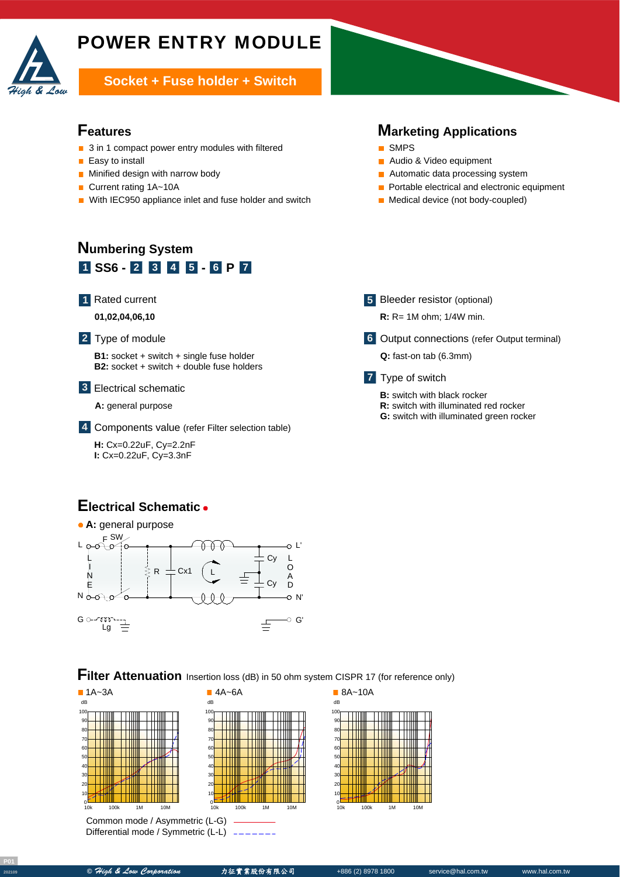

**Socket + Fuse holder + Switch** 

#### **Features**

- 3 in 1 compact power entry modules with filtered
- **Easy to install**
- **Minified design with narrow body**
- Current rating 1A~10A
- With IEC950 appliance inlet and fuse holder and switch

# **Marketing Applications**

- **SMPS**
- Audio & Video equipment
- **Automatic data processing system**
- Portable electrical and electronic equipment
- **Medical device (not body-coupled)**

# **Numbering System 1 SS6** - **2 3 4 5** - **6 P** 7

Rated current **1**

**01,02,04,06,10**

#### Type of module **2**

**B1:** socket + switch + single fuse holder **B2:** socket + switch + double fuse holders

Electrical schematic **3**

**A:** general purpose

Components value (refer Filter selection table) **4**

A **H:** Cx=0.22uF, Cy=2.2nF **I:** Cx=0.22uF, Cy=3.3nF

### **Electrical Schematic**



#### **Filter Attenuation** Insertion loss (dB) in 50 ohm system CISPR 17 (for reference only)



Common mode / Asymmetric (L-G) Differential mode / Symmetric (L-L)



**7** Type of switch

**B:** switch with black rocker

**5** Bleeder resistor (optional) **R:** R= 1M ohm; 1/4W min.

**Q:** fast-on tab (6.3mm)

**R:** switch with illuminated red rocker

**G:** switch with illuminated green rocker

Output connections (refer Output terminal) **6**

0



**<sup>202109</sup> ©** High & Low Corporation 力征實業股份有限公司 +886 (2) 8978 1800 service@hal.com.tw www.hal.com.tw